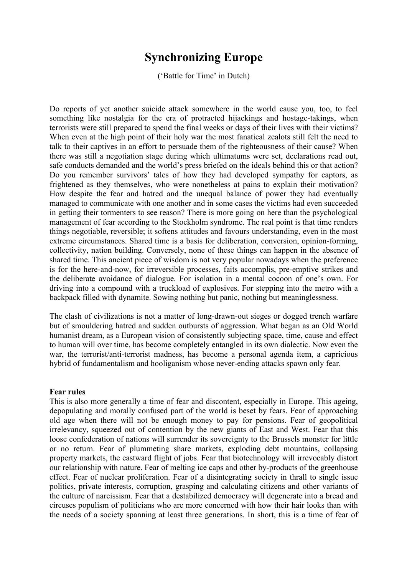## **Synchronizing Europe**

('Battle for Time' in Dutch)

Do reports of yet another suicide attack somewhere in the world cause you, too, to feel something like nostalgia for the era of protracted hijackings and hostage-takings, when terrorists were still prepared to spend the final weeks or days of their lives with their victims? When even at the high point of their holy war the most fanatical zealots still felt the need to talk to their captives in an effort to persuade them of the righteousness of their cause? When there was still a negotiation stage during which ultimatums were set, declarations read out, safe conducts demanded and the world's press briefed on the ideals behind this or that action? Do you remember survivors' tales of how they had developed sympathy for captors, as frightened as they themselves, who were nonetheless at pains to explain their motivation? How despite the fear and hatred and the unequal balance of power they had eventually managed to communicate with one another and in some cases the victims had even succeeded in getting their tormenters to see reason? There is more going on here than the psychological management of fear according to the Stockholm syndrome. The real point is that time renders things negotiable, reversible; it softens attitudes and favours understanding, even in the most extreme circumstances. Shared time is a basis for deliberation, conversion, opinion-forming, collectivity, nation building. Conversely, none of these things can happen in the absence of shared time. This ancient piece of wisdom is not very popular nowadays when the preference is for the here-and-now, for irreversible processes, faits accomplis, pre-emptive strikes and the deliberate avoidance of dialogue. For isolation in a mental cocoon of one's own. For driving into a compound with a truckload of explosives. For stepping into the metro with a backpack filled with dynamite. Sowing nothing but panic, nothing but meaninglessness.

The clash of civilizations is not a matter of long-drawn-out sieges or dogged trench warfare but of smouldering hatred and sudden outbursts of aggression. What began as an Old World humanist dream, as a European vision of consistently subjecting space, time, cause and effect to human will over time, has become completely entangled in its own dialectic. Now even the war, the terrorist/anti-terrorist madness, has become a personal agenda item, a capricious hybrid of fundamentalism and hooliganism whose never-ending attacks spawn only fear.

## **Fear rules**

This is also more generally a time of fear and discontent, especially in Europe. This ageing, depopulating and morally confused part of the world is beset by fears. Fear of approaching old age when there will not be enough money to pay for pensions. Fear of geopolitical irrelevancy, squeezed out of contention by the new giants of East and West. Fear that this loose confederation of nations will surrender its sovereignty to the Brussels monster for little or no return. Fear of plummeting share markets, exploding debt mountains, collapsing property markets, the eastward flight of jobs. Fear that biotechnology will irrevocably distort our relationship with nature. Fear of melting ice caps and other by-products of the greenhouse effect. Fear of nuclear proliferation. Fear of a disintegrating society in thrall to single issue politics, private interests, corruption, grasping and calculating citizens and other variants of the culture of narcissism. Fear that a destabilized democracy will degenerate into a bread and circuses populism of politicians who are more concerned with how their hair looks than with the needs of a society spanning at least three generations. In short, this is a time of fear of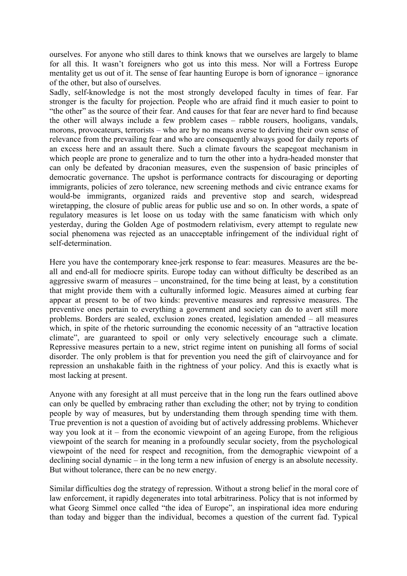ourselves. For anyone who still dares to think knows that we ourselves are largely to blame for all this. It wasn't foreigners who got us into this mess. Nor will a Fortress Europe mentality get us out of it. The sense of fear haunting Europe is born of ignorance – ignorance of the other, but also of ourselves.

Sadly, self-knowledge is not the most strongly developed faculty in times of fear. Far stronger is the faculty for projection. People who are afraid find it much easier to point to "the other" as the source of their fear. And causes for that fear are never hard to find because the other will always include a few problem cases – rabble rousers, hooligans, vandals, morons, provocateurs, terrorists – who are by no means averse to deriving their own sense of relevance from the prevailing fear and who are consequently always good for daily reports of an excess here and an assault there. Such a climate favours the scapegoat mechanism in which people are prone to generalize and to turn the other into a hydra-headed monster that can only be defeated by draconian measures, even the suspension of basic principles of democratic governance. The upshot is performance contracts for discouraging or deporting immigrants, policies of zero tolerance, new screening methods and civic entrance exams for would-be immigrants, organized raids and preventive stop and search, widespread wiretapping, the closure of public areas for public use and so on. In other words, a spate of regulatory measures is let loose on us today with the same fanaticism with which only yesterday, during the Golden Age of postmodern relativism, every attempt to regulate new social phenomena was rejected as an unacceptable infringement of the individual right of self-determination.

Here you have the contemporary knee-jerk response to fear: measures. Measures are the beall and end-all for mediocre spirits. Europe today can without difficulty be described as an aggressive swarm of measures – unconstrained, for the time being at least, by a constitution that might provide them with a culturally informed logic. Measures aimed at curbing fear appear at present to be of two kinds: preventive measures and repressive measures. The preventive ones pertain to everything a government and society can do to avert still more problems. Borders are sealed, exclusion zones created, legislation amended – all measures which, in spite of the rhetoric surrounding the economic necessity of an "attractive location climate", are guaranteed to spoil or only very selectively encourage such a climate. Repressive measures pertain to a new, strict regime intent on punishing all forms of social disorder. The only problem is that for prevention you need the gift of clairvoyance and for repression an unshakable faith in the rightness of your policy. And this is exactly what is most lacking at present.

Anyone with any foresight at all must perceive that in the long run the fears outlined above can only be quelled by embracing rather than excluding the other; not by trying to condition people by way of measures, but by understanding them through spending time with them. True prevention is not a question of avoiding but of actively addressing problems. Whichever way you look at it – from the economic viewpoint of an ageing Europe, from the religious viewpoint of the search for meaning in a profoundly secular society, from the psychological viewpoint of the need for respect and recognition, from the demographic viewpoint of a declining social dynamic – in the long term a new infusion of energy is an absolute necessity. But without tolerance, there can be no new energy.

Similar difficulties dog the strategy of repression. Without a strong belief in the moral core of law enforcement, it rapidly degenerates into total arbitrariness. Policy that is not informed by what Georg Simmel once called "the idea of Europe", an inspirational idea more enduring than today and bigger than the individual, becomes a question of the current fad. Typical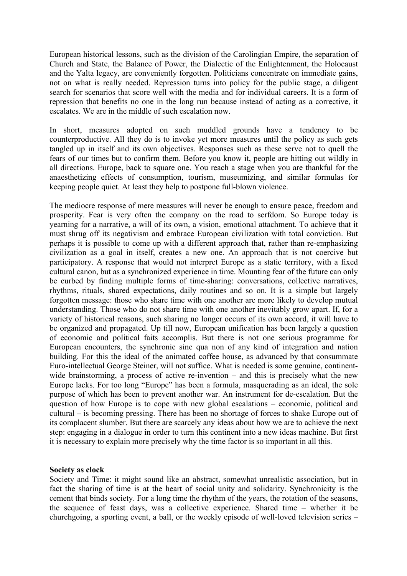European historical lessons, such as the division of the Carolingian Empire, the separation of Church and State, the Balance of Power, the Dialectic of the Enlightenment, the Holocaust and the Yalta legacy, are conveniently forgotten. Politicians concentrate on immediate gains, not on what is really needed. Repression turns into policy for the public stage, a diligent search for scenarios that score well with the media and for individual careers. It is a form of repression that benefits no one in the long run because instead of acting as a corrective, it escalates. We are in the middle of such escalation now.

In short, measures adopted on such muddled grounds have a tendency to be counterproductive. All they do is to invoke yet more measures until the policy as such gets tangled up in itself and its own objectives. Responses such as these serve not to quell the fears of our times but to confirm them. Before you know it, people are hitting out wildly in all directions. Europe, back to square one. You reach a stage when you are thankful for the anaesthetizing effects of consumption, tourism, museumizing, and similar formulas for keeping people quiet. At least they help to postpone full-blown violence.

The mediocre response of mere measures will never be enough to ensure peace, freedom and prosperity. Fear is very often the company on the road to serfdom. So Europe today is yearning for a narrative, a will of its own, a vision, emotional attachment. To achieve that it must shrug off its negativism and embrace European civilization with total conviction. But perhaps it is possible to come up with a different approach that, rather than re-emphasizing civilization as a goal in itself, creates a new one. An approach that is not coercive but participatory. A response that would not interpret Europe as a static territory, with a fixed cultural canon, but as a synchronized experience in time. Mounting fear of the future can only be curbed by finding multiple forms of time-sharing: conversations, collective narratives, rhythms, rituals, shared expectations, daily routines and so on. It is a simple but largely forgotten message: those who share time with one another are more likely to develop mutual understanding. Those who do not share time with one another inevitably grow apart. If, for a variety of historical reasons, such sharing no longer occurs of its own accord, it will have to be organized and propagated. Up till now, European unification has been largely a question of economic and political faits accomplis. But there is not one serious programme for European encounters, the synchronic sine qua non of any kind of integration and nation building. For this the ideal of the animated coffee house, as advanced by that consummate Euro-intellectual George Steiner, will not suffice. What is needed is some genuine, continentwide brainstorming, a process of active re-invention – and this is precisely what the new Europe lacks. For too long "Europe" has been a formula, masquerading as an ideal, the sole purpose of which has been to prevent another war. An instrument for de-escalation. But the question of how Europe is to cope with new global escalations – economic, political and cultural – is becoming pressing. There has been no shortage of forces to shake Europe out of its complacent slumber. But there are scarcely any ideas about how we are to achieve the next step: engaging in a dialogue in order to turn this continent into a new ideas machine. But first it is necessary to explain more precisely why the time factor is so important in all this.

## **Society as clock**

Society and Time: it might sound like an abstract, somewhat unrealistic association, but in fact the sharing of time is at the heart of social unity and solidarity. Synchronicity is the cement that binds society. For a long time the rhythm of the years, the rotation of the seasons, the sequence of feast days, was a collective experience. Shared time – whether it be churchgoing, a sporting event, a ball, or the weekly episode of well-loved television series –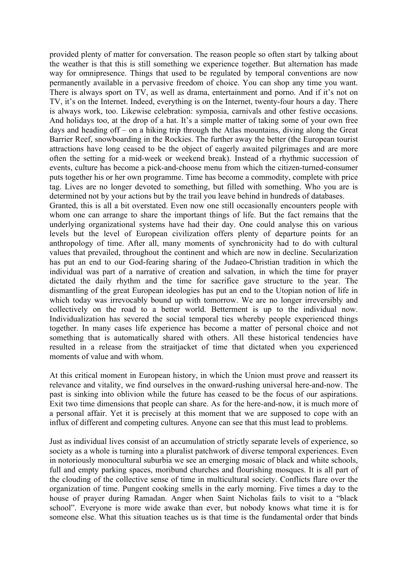provided plenty of matter for conversation. The reason people so often start by talking about the weather is that this is still something we experience together. But alternation has made way for omnipresence. Things that used to be regulated by temporal conventions are now permanently available in a pervasive freedom of choice. You can shop any time you want. There is always sport on TV, as well as drama, entertainment and porno. And if it's not on TV, it's on the Internet. Indeed, everything is on the Internet, twenty-four hours a day. There is always work, too. Likewise celebration: symposia, carnivals and other festive occasions. And holidays too, at the drop of a hat. It's a simple matter of taking some of your own free days and heading off – on a hiking trip through the Atlas mountains, diving along the Great Barrier Reef, snowboarding in the Rockies. The further away the better (the European tourist attractions have long ceased to be the object of eagerly awaited pilgrimages and are more often the setting for a mid-week or weekend break). Instead of a rhythmic succession of events, culture has become a pick-and-choose menu from which the citizen-turned-consumer puts together his or her own programme. Time has become a commodity, complete with price tag. Lives are no longer devoted to something, but filled with something. Who you are is determined not by your actions but by the trail you leave behind in hundreds of databases.

Granted, this is all a bit overstated. Even now one still occasionally encounters people with whom one can arrange to share the important things of life. But the fact remains that the underlying organizational systems have had their day. One could analyse this on various levels but the level of European civilization offers plenty of departure points for an anthropology of time. After all, many moments of synchronicity had to do with cultural values that prevailed, throughout the continent and which are now in decline. Secularization has put an end to our God-fearing sharing of the Judaeo-Christian tradition in which the individual was part of a narrative of creation and salvation, in which the time for prayer dictated the daily rhythm and the time for sacrifice gave structure to the year. The dismantling of the great European ideologies has put an end to the Utopian notion of life in which today was irrevocably bound up with tomorrow. We are no longer irreversibly and collectively on the road to a better world. Betterment is up to the individual now. Individualization has severed the social temporal ties whereby people experienced things together. In many cases life experience has become a matter of personal choice and not something that is automatically shared with others. All these historical tendencies have resulted in a release from the straitjacket of time that dictated when you experienced moments of value and with whom.

At this critical moment in European history, in which the Union must prove and reassert its relevance and vitality, we find ourselves in the onward-rushing universal here-and-now. The past is sinking into oblivion while the future has ceased to be the focus of our aspirations. Exit two time dimensions that people can share. As for the here-and-now, it is much more of a personal affair. Yet it is precisely at this moment that we are supposed to cope with an influx of different and competing cultures. Anyone can see that this must lead to problems.

Just as individual lives consist of an accumulation of strictly separate levels of experience, so society as a whole is turning into a pluralist patchwork of diverse temporal experiences. Even in notoriously monocultural suburbia we see an emerging mosaic of black and white schools, full and empty parking spaces, moribund churches and flourishing mosques. It is all part of the clouding of the collective sense of time in multicultural society. Conflicts flare over the organization of time. Pungent cooking smells in the early morning. Five times a day to the house of prayer during Ramadan. Anger when Saint Nicholas fails to visit to a "black school". Everyone is more wide awake than ever, but nobody knows what time it is for someone else. What this situation teaches us is that time is the fundamental order that binds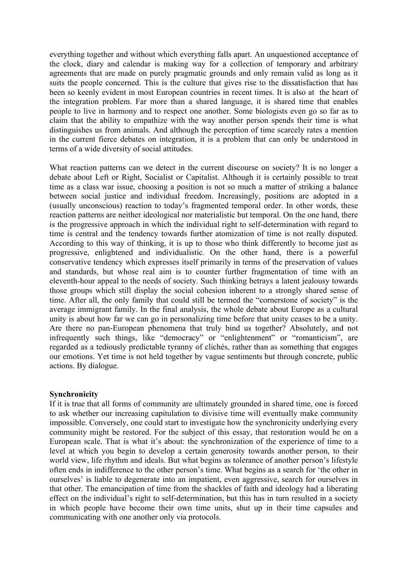everything together and without which everything falls apart. An unquestioned acceptance of the clock, diary and calendar is making way for a collection of temporary and arbitrary agreements that are made on purely pragmatic grounds and only remain valid as long as it suits the people concerned. This is the culture that gives rise to the dissatisfaction that has been so keenly evident in most European countries in recent times. It is also at the heart of the integration problem. Far more than a shared language, it is shared time that enables people to live in harmony and to respect one another. Some biologists even go so far as to claim that the ability to empathize with the way another person spends their time is what distinguishes us from animals. And although the perception of time scarcely rates a mention in the current fierce debates on integration, it is a problem that can only be understood in terms of a wide diversity of social attitudes.

What reaction patterns can we detect in the current discourse on society? It is no longer a debate about Left or Right, Socialist or Capitalist. Although it is certainly possible to treat time as a class war issue, choosing a position is not so much a matter of striking a balance between social justice and individual freedom. Increasingly, positions are adopted in a (usually unconscious) reaction to today's fragmented temporal order. In other words, these reaction patterns are neither ideological nor materialistic but temporal. On the one hand, there is the progressive approach in which the individual right to self-determination with regard to time is central and the tendency towards further atomization of time is not really disputed. According to this way of thinking, it is up to those who think differently to become just as progressive, enlightened and individualistic. On the other hand, there is a powerful conservative tendency which expresses itself primarily in terms of the preservation of values and standards, but whose real aim is to counter further fragmentation of time with an eleventh-hour appeal to the needs of society. Such thinking betrays a latent jealousy towards those groups which still display the social cohesion inherent to a strongly shared sense of time. After all, the only family that could still be termed the "cornerstone of society" is the average immigrant family. In the final analysis, the whole debate about Europe as a cultural unity is about how far we can go in personalizing time before that unity ceases to be a unity. Are there no pan-European phenomena that truly bind us together? Absolutely, and not infrequently such things, like "democracy" or "enlightenment" or "romanticism", are regarded as a tediously predictable tyranny of clichés, rather than as something that engages our emotions. Yet time is not held together by vague sentiments but through concrete, public actions. By dialogue.

## **Synchronicity**

If it is true that all forms of community are ultimately grounded in shared time, one is forced to ask whether our increasing capitulation to divisive time will eventually make community impossible. Conversely, one could start to investigate how the synchronicity underlying every community might be restored. For the subject of this essay, that restoration would be on a European scale. That is what it's about: the synchronization of the experience of time to a level at which you begin to develop a certain generosity towards another person, to their world view, life rhythm and ideals. But what begins as tolerance of another person's lifestyle often ends in indifference to the other person's time. What begins as a search for 'the other in ourselves' is liable to degenerate into an impatient, even aggressive, search for ourselves in that other. The emancipation of time from the shackles of faith and ideology had a liberating effect on the individual's right to self-determination, but this has in turn resulted in a society in which people have become their own time units, shut up in their time capsules and communicating with one another only via protocols.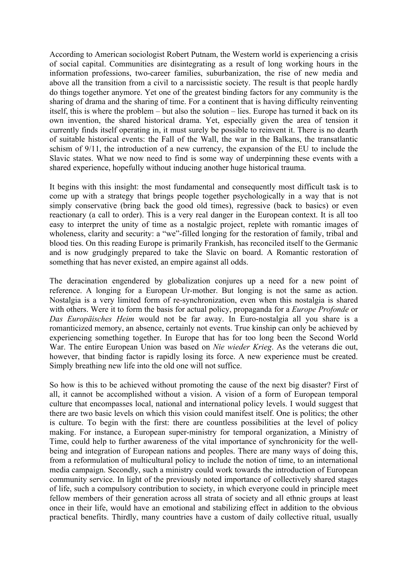According to American sociologist Robert Putnam, the Western world is experiencing a crisis of social capital. Communities are disintegrating as a result of long working hours in the information professions, two-career families, suburbanization, the rise of new media and above all the transition from a civil to a narcissistic society. The result is that people hardly do things together anymore. Yet one of the greatest binding factors for any community is the sharing of drama and the sharing of time. For a continent that is having difficulty reinventing itself, this is where the problem – but also the solution – lies. Europe has turned it back on its own invention, the shared historical drama. Yet, especially given the area of tension it currently finds itself operating in, it must surely be possible to reinvent it. There is no dearth of suitable historical events: the Fall of the Wall, the war in the Balkans, the transatlantic schism of 9/11, the introduction of a new currency, the expansion of the EU to include the Slavic states. What we now need to find is some way of underpinning these events with a shared experience, hopefully without inducing another huge historical trauma.

It begins with this insight: the most fundamental and consequently most difficult task is to come up with a strategy that brings people together psychologically in a way that is not simply conservative (bring back the good old times), regressive (back to basics) or even reactionary (a call to order). This is a very real danger in the European context. It is all too easy to interpret the unity of time as a nostalgic project, replete with romantic images of wholeness, clarity and security: a "we"-filled longing for the restoration of family, tribal and blood ties. On this reading Europe is primarily Frankish, has reconciled itself to the Germanic and is now grudgingly prepared to take the Slavic on board. A Romantic restoration of something that has never existed, an empire against all odds.

The deracination engendered by globalization conjures up a need for a new point of reference. A longing for a European Ur-mother. But longing is not the same as action. Nostalgia is a very limited form of re-synchronization, even when this nostalgia is shared with others. Were it to form the basis for actual policy, propaganda for a *Europe Profonde* or *Das Europäisches Heim* would not be far away. In Euro-nostalgia all you share is a romanticized memory, an absence, certainly not events. True kinship can only be achieved by experiencing something together. In Europe that has for too long been the Second World War. The entire European Union was based on *Nie wieder Krieg*. As the veterans die out, however, that binding factor is rapidly losing its force. A new experience must be created. Simply breathing new life into the old one will not suffice.

So how is this to be achieved without promoting the cause of the next big disaster? First of all, it cannot be accomplished without a vision. A vision of a form of European temporal culture that encompasses local, national and international policy levels. I would suggest that there are two basic levels on which this vision could manifest itself. One is politics; the other is culture. To begin with the first: there are countless possibilities at the level of policy making. For instance, a European super-ministry for temporal organization, a Ministry of Time, could help to further awareness of the vital importance of synchronicity for the wellbeing and integration of European nations and peoples. There are many ways of doing this, from a reformulation of multicultural policy to include the notion of time, to an international media campaign. Secondly, such a ministry could work towards the introduction of European community service. In light of the previously noted importance of collectively shared stages of life, such a compulsory contribution to society, in which everyone could in principle meet fellow members of their generation across all strata of society and all ethnic groups at least once in their life, would have an emotional and stabilizing effect in addition to the obvious practical benefits. Thirdly, many countries have a custom of daily collective ritual, usually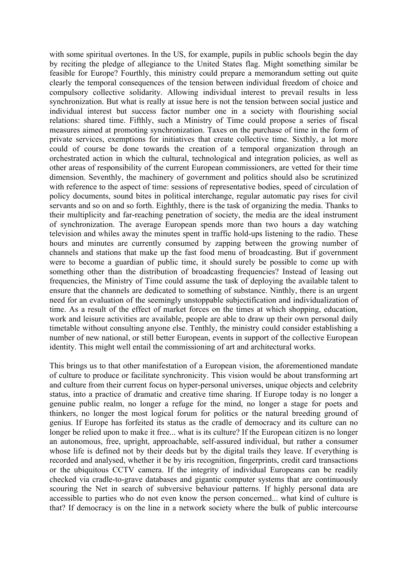with some spiritual overtones. In the US, for example, pupils in public schools begin the day by reciting the pledge of allegiance to the United States flag. Might something similar be feasible for Europe? Fourthly, this ministry could prepare a memorandum setting out quite clearly the temporal consequences of the tension between individual freedom of choice and compulsory collective solidarity. Allowing individual interest to prevail results in less synchronization. But what is really at issue here is not the tension between social justice and individual interest but success factor number one in a society with flourishing social relations: shared time. Fifthly, such a Ministry of Time could propose a series of fiscal measures aimed at promoting synchronization. Taxes on the purchase of time in the form of private services, exemptions for initiatives that create collective time. Sixthly, a lot more could of course be done towards the creation of a temporal organization through an orchestrated action in which the cultural, technological and integration policies, as well as other areas of responsibility of the current European commissioners, are vetted for their time dimension. Seventhly, the machinery of government and politics should also be scrutinized with reference to the aspect of time: sessions of representative bodies, speed of circulation of policy documents, sound bites in political interchange, regular automatic pay rises for civil servants and so on and so forth. Eighthly, there is the task of organizing the media. Thanks to their multiplicity and far-reaching penetration of society, the media are the ideal instrument of synchronization. The average European spends more than two hours a day watching television and whiles away the minutes spent in traffic hold-ups listening to the radio. These hours and minutes are currently consumed by zapping between the growing number of channels and stations that make up the fast food menu of broadcasting. But if government were to become a guardian of public time, it should surely be possible to come up with something other than the distribution of broadcasting frequencies? Instead of leasing out frequencies, the Ministry of Time could assume the task of deploying the available talent to ensure that the channels are dedicated to something of substance. Ninthly, there is an urgent need for an evaluation of the seemingly unstoppable subjectification and individualization of time. As a result of the effect of market forces on the times at which shopping, education, work and leisure activities are available, people are able to draw up their own personal daily timetable without consulting anyone else. Tenthly, the ministry could consider establishing a number of new national, or still better European, events in support of the collective European identity. This might well entail the commissioning of art and architectural works.

This brings us to that other manifestation of a European vision, the aforementioned mandate of culture to produce or facilitate synchronicity. This vision would be about transforming art and culture from their current focus on hyper-personal universes, unique objects and celebrity status, into a practice of dramatic and creative time sharing. If Europe today is no longer a genuine public realm, no longer a refuge for the mind, no longer a stage for poets and thinkers, no longer the most logical forum for politics or the natural breeding ground of genius. If Europe has forfeited its status as the cradle of democracy and its culture can no longer be relied upon to make it free... what is its culture? If the European citizen is no longer an autonomous, free, upright, approachable, self-assured individual, but rather a consumer whose life is defined not by their deeds but by the digital trails they leave. If everything is recorded and analysed, whether it be by iris recognition, fingerprints, credit card transactions or the ubiquitous CCTV camera. If the integrity of individual Europeans can be readily checked via cradle-to-grave databases and gigantic computer systems that are continuously scouring the Net in search of subversive behaviour patterns. If highly personal data are accessible to parties who do not even know the person concerned... what kind of culture is that? If democracy is on the line in a network society where the bulk of public intercourse